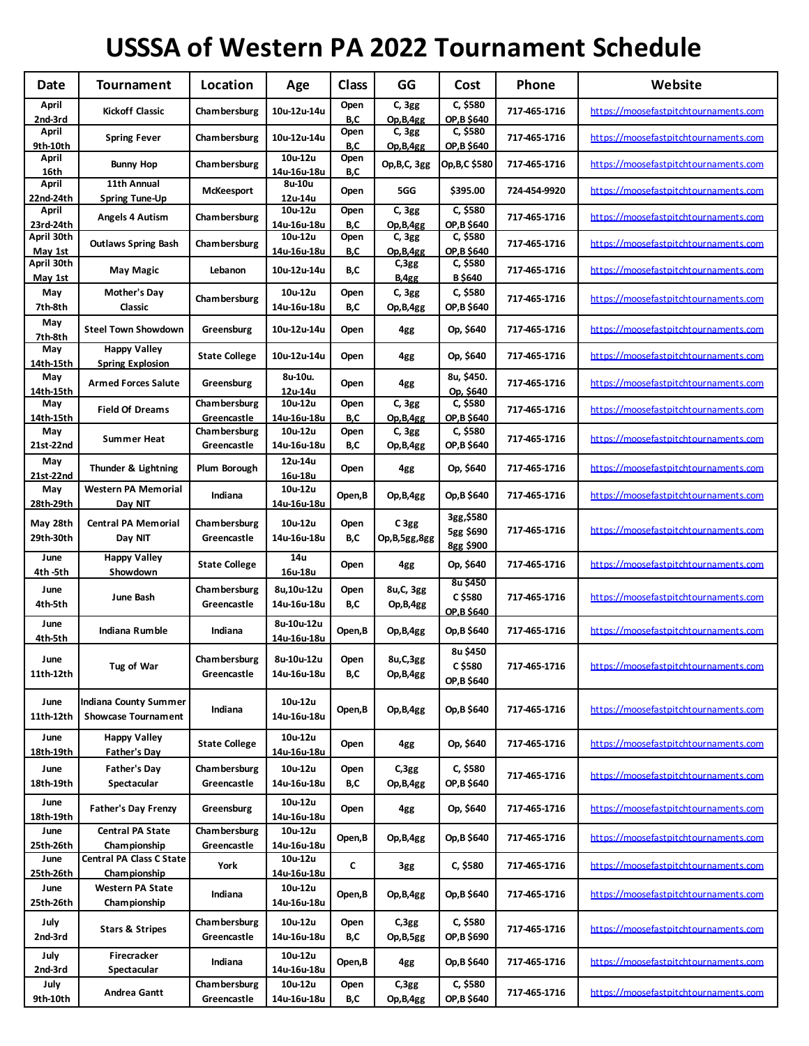## **USSSA of Western PA 2022 Tournament Schedule**

| Date                  | <b>Tournament</b>                                   | Location                           | Age                       | <b>Class</b> | GG                       | Cost                                 | Phone        | Website                                      |
|-----------------------|-----------------------------------------------------|------------------------------------|---------------------------|--------------|--------------------------|--------------------------------------|--------------|----------------------------------------------|
| April<br>2nd 3rd      | <b>Kickoff Classic</b>                              | <b>Chambersburg</b>                | 10u-12u-14u               | Open<br>B,C  | C, 3gg<br>Op, B, 4gg     | C, \$580<br>OP, B \$640              | 717 465 1716 | https://moosefastpitchtournaments.com        |
| April<br>9th 10th     | <b>Spring Fever</b>                                 | Cham bersburg                      | 10u-12u-14u               | Open<br>B,C  | C, 3gg<br>Op,B,4gg       | C, \$580<br>OP, B \$640              | 717-465-1716 | https://moosefastpitchtournaments.com        |
| April<br>16th         | <b>Bunny Hop</b>                                    | <b>Chambersburg</b>                | 10u-12u<br>14u-16u-18u    | Open<br>B,C  | Op, B, C, 3gg            | Op,B,C \$580                         | 717 465 1716 | https://moosefastpitchtournaments.com        |
| April<br>22nd-24th    | 11th Annual<br><b>Spring Tune-Up</b>                | <b>McKeesport</b>                  | 8u-10u<br>12u-14u         | Open         | 5GG                      | \$395.00                             | 724 454 9920 | https://moosefastpitchtournaments.com        |
| April<br>23rd-24th    | Angels 4 Autism                                     | <b>Chambersburg</b>                | 10u-12u<br>14u-16u-18u    | Open<br>B,C  | C, 3gg<br>Op, B, 4gg     | C, \$580<br>OP, B \$640              | 717-465-1716 | https://moosefastpitchtournaments.com        |
| April 30th<br>May 1st | <b>Outlaws Spring Bash</b>                          | <b>Chambersburg</b>                | 10u-12u<br>14u-16u-18u    | Open<br>B,C  | C, 3gg<br>Op, B, 4gg     | C, \$580<br>OP, B \$640              | 717 465 1716 | https://moosefastpitchtournaments.com        |
| April 30th<br>May 1st | May Magic                                           | Lebanon                            | 10u-12u-14u               | B,C          | C,3gg<br>B, 4gg          | C, \$580<br><b>B</b> \$640           | 717 465 1716 | https://moosefastpitchtournaments.com        |
| May<br>7th 8th        | Mother's Day<br>Classic                             | <b>Chambersburg</b>                | 10u-12u<br>14u-16u-18u    | Open<br>B,C  | C, 3gg<br>Op,B,4gg       | C, \$580<br>OP, B \$640              | 717 465 1716 | https://moosefastpitchtournaments.com        |
| May<br>7th-8th        | <b>Steel Town Showdown</b>                          | Greensburg                         | 10u-12u-14u               | Open         | 4gg                      | Op, \$640                            | 717 465 1716 | https://moosefastpitchtournaments.com        |
| May<br>14th 15th      | <b>Happy Valley</b><br><b>Spring Explosion</b>      | <b>State College</b>               | 10u-12u-14u               | Open         | 4gg                      | Op, \$640                            | 717 465 1716 | https://moosefastpitchtournaments.com        |
| May<br>14th 15th      | <b>Armed Forces Salute</b>                          | Greensburg                         | 8u-10u.<br>12u-14u        | Open         | 4gg                      | 8u, \$450.<br>Op, \$640              | 717-465-1716 | https://moosefastpitchtournaments.com        |
| May<br>14th-15th      | <b>Field Of Dreams</b>                              | Chambersburg<br>Greencastle        | 10u-12u<br>14u-16u-18u    | Open<br>B,C  | C, 3gg<br>Op, B, 4gg     | C, \$580<br>OP, B \$640              | 717 465 1716 | https://moosefastpitchtournaments.com        |
| May<br>21st-22nd      | <b>Summer Heat</b>                                  | Chambersburg<br>Greencastle        | 10u-12u<br>14u-16u-18u    | Open<br>B,C  | C, 3gg<br>Op,B,4gg       | C, \$580<br>OP, B \$640              | 717-465-1716 | https://moosefastpitchtournaments.com        |
| May<br>21st-22nd      | Thunder & Lightning                                 | Plum Borough                       | 12u-14u<br>16u-18u        | Open         | 4gg                      | Op, \$640                            | 717 465 1716 | https://moosefastpitchtournaments.com        |
| May<br>28th 29th      | <b>Western PA Memorial</b><br>Day NIT               | Indiana                            | 10u-12u<br>14u-16u-18u    | Open,B       | Op,B,4gg                 | Op, B \$640                          | 717-465-1716 | https://moosefastpitchtournaments.com        |
| May 28th<br>29th-30th | <b>Central PA Memorial</b><br>Day NIT               | <b>Chambersburg</b><br>Greencastle | 10u-12u<br>14u-16u-18u    | Open<br>B,C  | C3gg<br>Op, B, 5gg, 8gg  | 3gg, \$580<br>5gg \$690<br>8gg \$900 | 717 465 1716 | https://moosefastpitchtournaments.com        |
| June<br>4th 5th       | <b>Happy Valley</b><br>Showdown                     | <b>State College</b>               | 14u<br>16u-18u            | Open         | 4gg                      | Op, \$640                            | 717 465 1716 | https://moosefastpitchtournaments.com        |
| June<br>4th 5th       | June Bash                                           | <b>Chambersburg</b><br>Greencastle | 8u,10u-12u<br>14u-16u-18u | Open<br>B,C  | 8u, C, 3gg<br>Op,B,4gg   | 8u \$450<br>C \$580<br>OP.B \$640    | 717-465-1716 | https://moosefastpitchtournaments.com        |
| June<br>4th 5th       | Indiana Rumble                                      | Indiana                            | 8u-10u-12u<br>14u-16u-18u | Open,B       | Op,B,4gg                 | Op, B \$640                          | 717 465 1716 | https://moosefastpitchtournaments.com        |
| June<br>11th-12th     | Tug of War                                          | <b>Chambersburg</b><br>Greencastle | 8u-10u-12u<br>14u-16u-18u | Open<br>B,C  | 8u, C, 3gg<br>Op, B, 4gg | 8u \$450<br>C \$580<br>OP, B \$640   | 717-465-1716 | <u>https://moosefastpitchtournaments.com</u> |
| June<br>11th 12th     | Indiana County Summer<br><b>Showcase Tournament</b> | Indiana                            | 10u-12u<br>14u-16u-18u    | Open,B       | Op,B,4gg                 | Op, B \$640                          | 717-465-1716 | https://moosefastpitchtournaments.com        |
| June<br>18th-19th     | <b>Happy Valley</b><br>Father's Day                 | <b>State College</b>               | 10u-12u<br>14u-16u-18u    | Open         | 4gg                      | Op, \$640                            | 717-465-1716 | https://moosefastpitchtournaments.com        |
| June<br>18th-19th     | <b>Father's Day</b><br>Spectacular                  | Chambersburg<br>Greencastle        | 10u-12u<br>14u-16u-18u    | Open<br>B,C  | C,3gg<br>Op,B,4gg        | C, \$580<br>OP, B \$640              | 717 465 1716 | https://moosefastpitchtournaments.com        |
| June<br>18th-19th     | <b>Father's Day Frenzy</b>                          | Greensburg                         | 10u-12u<br>14u-16u-18u    | Open         | 4gg                      | Op, \$640                            | 717 465 1716 | https://moosefastpitchtournaments.com        |
| June<br>25th 26th     | <b>Central PA State</b><br><b>Championship</b>      | Chambersburg<br>Greencastle        | 10u-12u<br>14u-16u-18u    | Open,B       | Op,B,4gg                 | Op, B \$640                          | 717 465 1716 | https://moosefastpitchtournaments.com        |
| June<br>25th 26th     | <b>Central PA Class C State</b><br>Championship     | York                               | 10u-12u<br>14u-16u-18u    | C            | 3gg                      | C, \$580                             | 717 465 1716 | https://moosefastpitchtournaments.com        |
| June<br>25th 26th     | <b>Western PA State</b><br><b>Championship</b>      | Indiana                            | 10u-12u<br>14u-16u-18u    | Open,B       | Op,B,4gg                 | Op, B \$640                          | 717 465 1716 | https://moosefastpitchtournaments.com        |
| July<br>2nd 3rd       | <b>Stars &amp; Stripes</b>                          | Chambersburg<br>Greencastle        | 10u-12u<br>14u-16u-18u    | Open<br>B,C  | C,3gg<br>Op,B,5gg        | C, \$580<br>OP, B \$690              | 717 465 1716 | https://moosefastpitchtournaments.com        |
| July<br>2nd-3rd       | Firecracker<br>Spectacular                          | Indiana                            | 10u-12u<br>14u-16u-18u    | Open,B       | 4gg                      | Op, B \$640                          | 717-465-1716 | https://moosefastpitchtournaments.com        |
| July<br>9th 10th      | Andrea Gantt                                        | Chambersburg<br>Greencastle        | 10u-12u<br>14u-16u-18u    | Open<br>B,C  | C,3gg<br>Op, B, 4gg      | C, \$580<br>OP, B \$640              | 717 465 1716 | https://moosefastpitchtournaments.com        |